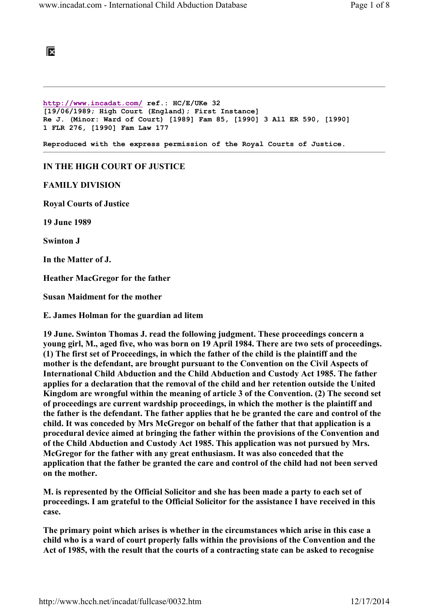

http://www.incadat.com/ ref.: HC/E/UKe 32 [19/06/1989; High Court (England); First Instance] Re J. (Minor: Ward of Court) [1989] Fam 85, [1990] 3 All ER 590, [1990] 1 FLR 276, [1990] Fam Law 177

Reproduced with the express permission of the Royal Courts of Justice.

## IN THE HIGH COURT OF JUSTICE

## FAMILY DIVISION

Royal Courts of Justice

19 June 1989

Swinton J

In the Matter of J.

Heather MacGregor for the father

Susan Maidment for the mother

E. James Holman for the guardian ad litem

19 June. Swinton Thomas J. read the following judgment. These proceedings concern a young girl, M., aged five, who was born on 19 April 1984. There are two sets of proceedings. (1) The first set of Proceedings, in which the father of the child is the plaintiff and the mother is the defendant, are brought pursuant to the Convention on the Civil Aspects of International Child Abduction and the Child Abduction and Custody Act 1985. The father applies for a declaration that the removal of the child and her retention outside the United Kingdom are wrongful within the meaning of article 3 of the Convention. (2) The second set of proceedings are current wardship proceedings, in which the mother is the plaintiff and the father is the defendant. The father applies that he be granted the care and control of the child. It was conceded by Mrs McGregor on behalf of the father that that application is a procedural device aimed at bringing the father within the provisions of the Convention and of the Child Abduction and Custody Act 1985. This application was not pursued by Mrs. McGregor for the father with any great enthusiasm. It was also conceded that the application that the father be granted the care and control of the child had not been served on the mother.

M. is represented by the Official Solicitor and she has been made a party to each set of proceedings. I am grateful to the Official Solicitor for the assistance I have received in this case.

The primary point which arises is whether in the circumstances which arise in this case a child who is a ward of court properly falls within the provisions of the Convention and the Act of 1985, with the result that the courts of a contracting state can be asked to recognise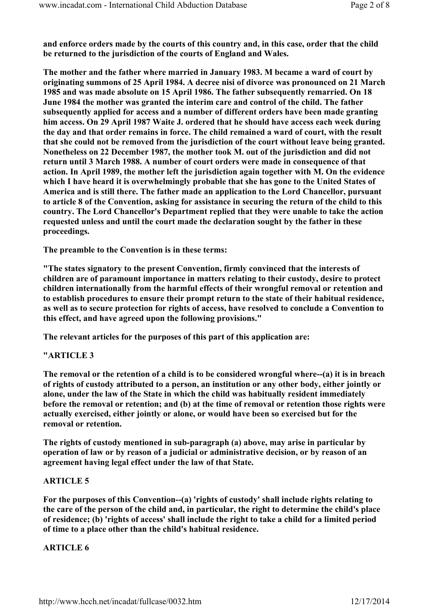and enforce orders made by the courts of this country and, in this case, order that the child be returned to the jurisdiction of the courts of England and Wales.

The mother and the father where married in January 1983. M became a ward of court by originating summons of 25 April 1984. A decree nisi of divorce was pronounced on 21 March 1985 and was made absolute on 15 April 1986. The father subsequently remarried. On 18 June 1984 the mother was granted the interim care and control of the child. The father subsequently applied for access and a number of different orders have been made granting him access. On 29 April 1987 Waite J. ordered that he should have access each week during the day and that order remains in force. The child remained a ward of court, with the result that she could not be removed from the jurisdiction of the court without leave being granted. Nonetheless on 22 December 1987, the mother took M. out of the jurisdiction and did not return until 3 March 1988. A number of court orders were made in consequence of that action. In April 1989, the mother left the jurisdiction again together with M. On the evidence which I have heard it is overwhelmingly probable that she has gone to the United States of America and is still there. The father made an application to the Lord Chancellor, pursuant to article 8 of the Convention, asking for assistance in securing the return of the child to this country. The Lord Chancellor's Department replied that they were unable to take the action requested unless and until the court made the declaration sought by the father in these proceedings.

The preamble to the Convention is in these terms:

"The states signatory to the present Convention, firmly convinced that the interests of children are of paramount importance in matters relating to their custody, desire to protect children internationally from the harmful effects of their wrongful removal or retention and to establish procedures to ensure their prompt return to the state of their habitual residence, as well as to secure protection for rights of access, have resolved to conclude a Convention to this effect, and have agreed upon the following provisions."

The relevant articles for the purposes of this part of this application are:

# "ARTICLE 3

The removal or the retention of a child is to be considered wrongful where--(a) it is in breach of rights of custody attributed to a person, an institution or any other body, either jointly or alone, under the law of the State in which the child was habitually resident immediately before the removal or retention; and (b) at the time of removal or retention those rights were actually exercised, either jointly or alone, or would have been so exercised but for the removal or retention.

The rights of custody mentioned in sub-paragraph (a) above, may arise in particular by operation of law or by reason of a judicial or administrative decision, or by reason of an agreement having legal effect under the law of that State.

#### ARTICLE 5

For the purposes of this Convention--(a) 'rights of custody' shall include rights relating to the care of the person of the child and, in particular, the right to determine the child's place of residence; (b) 'rights of access' shall include the right to take a child for a limited period of time to a place other than the child's habitual residence.

# ARTICLE 6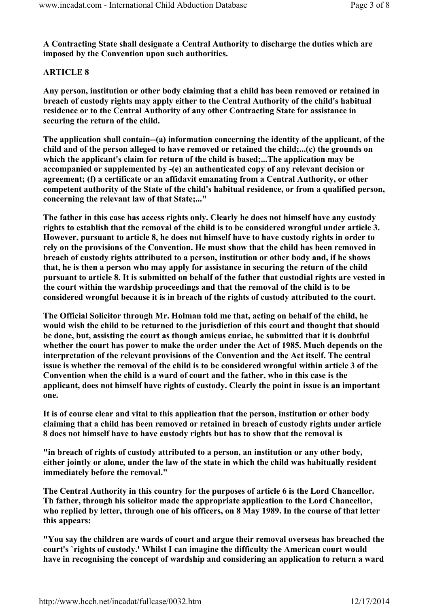A Contracting State shall designate a Central Authority to discharge the duties which are imposed by the Convention upon such authorities.

# ARTICLE 8

Any person, institution or other body claiming that a child has been removed or retained in breach of custody rights may apply either to the Central Authority of the child's habitual residence or to the Central Authority of any other Contracting State for assistance in securing the return of the child.

The application shall contain--(a) information concerning the identity of the applicant, of the child and of the person alleged to have removed or retained the child;...(c) the grounds on which the applicant's claim for return of the child is based;...The application may be accompanied or supplemented by -(e) an authenticated copy of any relevant decision or agreement; (f) a certificate or an affidavit emanating from a Central Authority, or other competent authority of the State of the child's habitual residence, or from a qualified person, concerning the relevant law of that State;..."

The father in this case has access rights only. Clearly he does not himself have any custody rights to establish that the removal of the child is to be considered wrongful under article 3. However, pursuant to article 8, he does not himself have to have custody rights in order to rely on the provisions of the Convention. He must show that the child has been removed in breach of custody rights attributed to a person, institution or other body and, if he shows that, he is then a person who may apply for assistance in securing the return of the child pursuant to article 8. It is submitted on behalf of the father that custodial rights are vested in the court within the wardship proceedings and that the removal of the child is to be considered wrongful because it is in breach of the rights of custody attributed to the court.

The Official Solicitor through Mr. Holman told me that, acting on behalf of the child, he would wish the child to be returned to the jurisdiction of this court and thought that should be done, but, assisting the court as though amicus curiae, he submitted that it is doubtful whether the court has power to make the order under the Act of 1985. Much depends on the interpretation of the relevant provisions of the Convention and the Act itself. The central issue is whether the removal of the child is to be considered wrongful within article 3 of the Convention when the child is a ward of court and the father, who in this case is the applicant, does not himself have rights of custody. Clearly the point in issue is an important one.

It is of course clear and vital to this application that the person, institution or other body claiming that a child has been removed or retained in breach of custody rights under article 8 does not himself have to have custody rights but has to show that the removal is

"in breach of rights of custody attributed to a person, an institution or any other body, either jointly or alone, under the law of the state in which the child was habitually resident immediately before the removal."

The Central Authority in this country for the purposes of article 6 is the Lord Chancellor. Th father, through his solicitor made the appropriate application to the Lord Chancellor, who replied by letter, through one of his officers, on 8 May 1989. In the course of that letter this appears:

"You say the children are wards of court and argue their removal overseas has breached the court's `rights of custody.' Whilst I can imagine the difficulty the American court would have in recognising the concept of wardship and considering an application to return a ward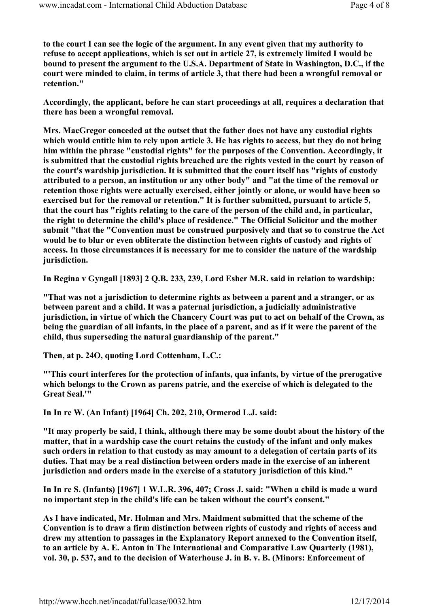to the court I can see the logic of the argument. In any event given that my authority to refuse to accept applications, which is set out in article 27, is extremely limited I would be bound to present the argument to the U.S.A. Department of State in Washington, D.C., if the court were minded to claim, in terms of article 3, that there had been a wrongful removal or retention."

Accordingly, the applicant, before he can start proceedings at all, requires a declaration that there has been a wrongful removal.

Mrs. MacGregor conceded at the outset that the father does not have any custodial rights which would entitle him to rely upon article 3. He has rights to access, but they do not bring him within the phrase "custodial rights" for the purposes of the Convention. Accordingly, it is submitted that the custodial rights breached are the rights vested in the court by reason of the court's wardship jurisdiction. It is submitted that the court itself has "rights of custody attributed to a person, an institution or any other body" and "at the time of the removal or retention those rights were actually exercised, either jointly or alone, or would have been so exercised but for the removal or retention." It is further submitted, pursuant to article 5, that the court has "rights relating to the care of the person of the child and, in particular, the right to determine the child's place of residence." The Official Solicitor and the mother submit "that the "Convention must be construed purposively and that so to construe the Act would be to blur or even obliterate the distinction between rights of custody and rights of access. In those circumstances it is necessary for me to consider the nature of the wardship jurisdiction.

In Regina v Gyngall [1893] 2 Q.B. 233, 239, Lord Esher M.R. said in relation to wardship:

"That was not a jurisdiction to determine rights as between a parent and a stranger, or as between parent and a child. It was a paternal jurisdiction, a judicially administrative jurisdiction, in virtue of which the Chancery Court was put to act on behalf of the Crown, as being the guardian of all infants, in the place of a parent, and as if it were the parent of the child, thus superseding the natural guardianship of the parent."

Then, at p. 24O, quoting Lord Cottenham, L.C.:

"'This court interferes for the protection of infants, qua infants, by virtue of the prerogative which belongs to the Crown as parens patrie, and the exercise of which is delegated to the Great Seal.'"

In In re W. (An Infant) [1964] Ch. 202, 210, Ormerod L.J. said:

"It may properly be said, I think, although there may be some doubt about the history of the matter, that in a wardship case the court retains the custody of the infant and only makes such orders in relation to that custody as may amount to a delegation of certain parts of its duties. That may be a real distinction between orders made in the exercise of an inherent jurisdiction and orders made in the exercise of a statutory jurisdiction of this kind."

In In re S. (Infants) [1967] 1 W.L.R. 396, 407; Cross J. said: "When a child is made a ward no important step in the child's life can be taken without the court's consent."

As I have indicated, Mr. Holman and Mrs. Maidment submitted that the scheme of the Convention is to draw a firm distinction between rights of custody and rights of access and drew my attention to passages in the Explanatory Report annexed to the Convention itself, to an article by A. E. Anton in The International and Comparative Law Quarterly (1981), vol. 30, p. 537, and to the decision of Waterhouse J. in B. v. B. (Minors: Enforcement of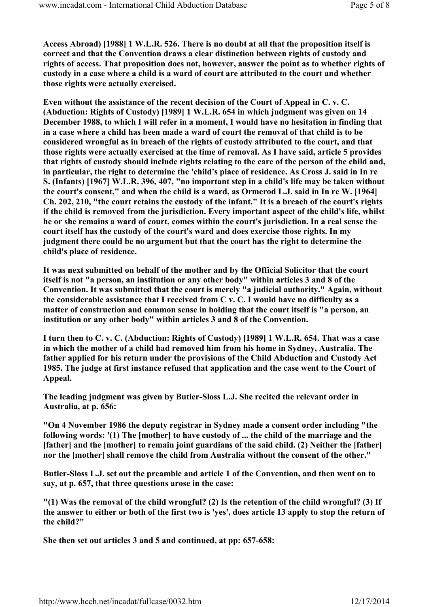Access Abroad) [1988] 1 W.L.R. 526. There is no doubt at all that the proposition itself is correct and that the Convention draws a clear distinction between rights of custody and rights of access. That proposition does not, however, answer the point as to whether rights of custody in a case where a child is a ward of court are attributed to the court and whether those rights were actually exercised.

Even without the assistance of the recent decision of the Court of Appeal in C. v. C. (Abduction: Rights of Custody) [1989] 1 W.L.R. 654 in which judgment was given on 14 December 1988, to which I will refer in a moment, I would have no hesitation in finding that in a case where a child has been made a ward of court the removal of that child is to be considered wrongful as in breach of the rights of custody attributed to the court, and that those rights were actually exercised at the time of removal. As I have said, article 5 provides that rights of custody should include rights relating to the care of the person of the child and, in particular, the right to determine the 'child's place of residence. As Cross J. said in In re S. (Infants) [1967] W.L.R. 396, 407, "no important step in a child's life may be taken without the court's consent," and when the child is a ward, as Ormerod L.J. said in In re W. [1964] Ch. 202, 210, "the court retains the custody of the infant." It is a breach of the court's rights if the child is removed from the jurisdiction. Every important aspect of the child's life, whilst he or she remains a ward of court, comes within the court's jurisdiction. In a real sense the court itself has the custody of the court's ward and does exercise those rights. In my judgment there could be no argument but that the court has the right to determine the child's place of residence.

It was next submitted on behalf of the mother and by the Official Solicitor that the court itself is not "a person, an institution or any other body" within articles 3 and 8 of the Convention. It was submitted that the court is merely "a judicial authority." Again, without the considerable assistance that I received from  $C$  v.  $C$ . I would have no difficulty as a matter of construction and common sense in holding that the court itself is "a person, an institution or any other body" within articles 3 and 8 of the Convention.

I turn then to C. v. C. (Abduction: Rights of Custody) [1989] 1 W.L.R. 654. That was a case in which the mother of a child had removed him from his home in Sydney, Australia. The father applied for his return under the provisions of the Child Abduction and Custody Act 1985. The judge at first instance refused that application and the case went to the Court of Appeal.

The leading judgment was given by Butler-Sloss L.J. She recited the relevant order in Australia, at p. 656:

"On 4 November 1986 the deputy registrar in Sydney made a consent order including "the following words: '(1) The [mother] to have custody of ... the child of the marriage and the [father] and the [mother] to remain joint guardians of the said child. (2) Neither the [father] nor the [mother] shall remove the child from Australia without the consent of the other."

Butler-Sloss L.J. set out the preamble and article 1 of the Convention, and then went on to say, at p. 657, that three questions arose in the case:

"(1) Was the removal of the child wrongful? (2) Is the retention of the child wrongful? (3) If the answer to either or both of the first two is 'yes', does article 13 apply to stop the return of the child?"

She then set out articles 3 and 5 and continued, at pp: 657-658: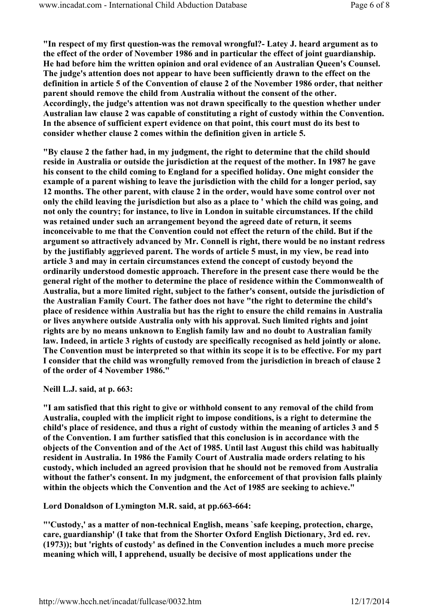"In respect of my first question-was the removal wrongful?- Latey J. heard argument as to the effect of the order of November 1986 and in particular the effect of joint guardianship. He had before him the written opinion and oral evidence of an Australian Queen's Counsel. The judge's attention does not appear to have been sufficiently drawn to the effect on the definition in article 5 of the Convention of clause 2 of the November 1986 order, that neither parent should remove the child from Australia without the consent of the other. Accordingly, the judge's attention was not drawn specifically to the question whether under Australian law clause 2 was capable of constituting a right of custody within the Convention. In the absence of sufficient expert evidence on that point, this court must do its best to consider whether clause 2 comes within the definition given in article 5.

"By clause 2 the father had, in my judgment, the right to determine that the child should reside in Australia or outside the jurisdiction at the request of the mother. In 1987 he gave his consent to the child coming to England for a specified holiday. One might consider the example of a parent wishing to leave the jurisdiction with the child for a longer period, say 12 months. The other parent, with clause 2 in the order, would have some control over not only the child leaving the jurisdiction but also as a place to ' which the child was going, and not only the country; for instance, to live in London in suitable circumstances. If the child was retained under such an arrangement beyond the agreed date of return, it seems inconceivable to me that the Convention could not effect the return of the child. But if the argument so attractively advanced by Mr. Connell is right, there would be no instant redress by the justifiably aggrieved parent. The words of article 5 must, in my view, be read into article 3 and may in certain circumstances extend the concept of custody beyond the ordinarily understood domestic approach. Therefore in the present case there would be the general right of the mother to determine the place of residence within the Commonwealth of Australia, but a more limited right, subject to the father's consent, outside the jurisdiction of the Australian Family Court. The father does not have "the right to determine the child's place of residence within Australia but has the right to ensure the child remains in Australia or lives anywhere outside Australia only with his approval. Such limited rights and joint rights are by no means unknown to English family law and no doubt to Australian family law. Indeed, in article 3 rights of custody are specifically recognised as held jointly or alone. The Convention must be interpreted so that within its scope it is to be effective. For my part I consider that the child was wrongfully removed from the jurisdiction in breach of clause 2 of the order of 4 November 1986."

Neill L.J. said, at p. 663:

"I am satisfied that this right to give or withhold consent to any removal of the child from Australia, coupled with the implicit right to impose conditions, is a right to determine the child's place of residence, and thus a right of custody within the meaning of articles 3 and 5 of the Convention. I am further satisfied that this conclusion is in accordance with the objects of the Convention and of the Act of 1985. Until last August this child was habitually resident in Australia. In 1986 the Family Court of Australia made orders relating to his custody, which included an agreed provision that he should not be removed from Australia without the father's consent. In my judgment, the enforcement of that provision falls plainly within the objects which the Convention and the Act of 1985 are seeking to achieve."

Lord Donaldson of Lymington M.R. said, at pp.663-664:

"'Custody,' as a matter of non-technical English, means `safe keeping, protection, charge, care, guardianship' (I take that from the Shorter Oxford English Dictionary, 3rd ed. rev. (1973)); but 'rights of custody' as defined in the Convention includes a much more precise meaning which will, I apprehend, usually be decisive of most applications under the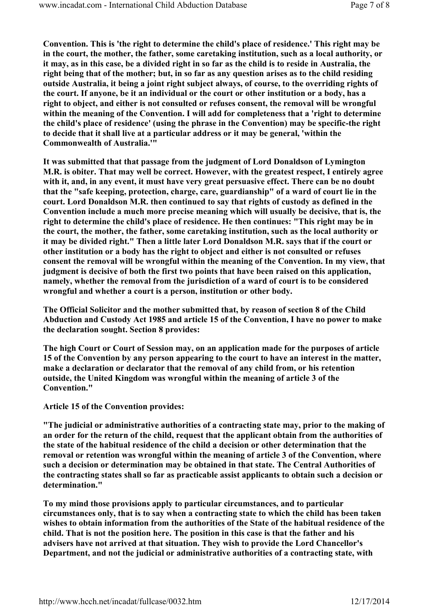Convention. This is 'the right to determine the child's place of residence.' This right may be in the court, the mother, the father, some caretaking institution, such as a local authority, or it may, as in this case, be a divided right in so far as the child is to reside in Australia, the right being that of the mother; but, in so far as any question arises as to the child residing outside Australia, it being a joint right subject always, of course, to the overriding rights of the court. If anyone, be it an individual or the court or other institution or a body, has a right to object, and either is not consulted or refuses consent, the removal will be wrongful within the meaning of the Convention. I will add for completeness that a 'right to determine the child's place of residence' (using the phrase in the Convention) may be specific-the right to decide that it shall live at a particular address or it may be general, 'within the Commonwealth of Australia.'"

It was submitted that that passage from the judgment of Lord Donaldson of Lymington M.R. is obiter. That may well be correct. However, with the greatest respect, I entirely agree with it, and, in any event, it must have very great persuasive effect. There can be no doubt that the "safe keeping, protection, charge, care, guardianship" of a ward of court lie in the court. Lord Donaldson M.R. then continued to say that rights of custody as defined in the Convention include a much more precise meaning which will usually be decisive, that is, the right to determine the child's place of residence. He then continues: "This right may be in the court, the mother, the father, some caretaking institution, such as the local authority or it may be divided right." Then a little later Lord Donaldson M.R. says that if the court or other institution or a body has the right to object and either is not consulted or refuses consent the removal will be wrongful within the meaning of the Convention. In my view, that judgment is decisive of both the first two points that have been raised on this application, namely, whether the removal from the jurisdiction of a ward of court is to be considered wrongful and whether a court is a person, institution or other body.

The Official Solicitor and the mother submitted that, by reason of section 8 of the Child Abduction and Custody Act 1985 and article 15 of the Convention, I have no power to make the declaration sought. Section 8 provides:

The high Court or Court of Session may, on an application made for the purposes of article 15 of the Convention by any person appearing to the court to have an interest in the matter, make a declaration or declarator that the removal of any child from, or his retention outside, the United Kingdom was wrongful within the meaning of article 3 of the Convention."

Article 15 of the Convention provides:

"The judicial or administrative authorities of a contracting state may, prior to the making of an order for the return of the child, request that the applicant obtain from the authorities of the state of the habitual residence of the child a decision or other determination that the removal or retention was wrongful within the meaning of article 3 of the Convention, where such a decision or determination may be obtained in that state. The Central Authorities of the contracting states shall so far as practicable assist applicants to obtain such a decision or determination."

To my mind those provisions apply to particular circumstances, and to particular circumstances only, that is to say when a contracting state to which the child has been taken wishes to obtain information from the authorities of the State of the habitual residence of the child. That is not the position here. The position in this case is that the father and his advisers have not arrived at that situation. They wish to provide the Lord Chancellor's Department, and not the judicial or administrative authorities of a contracting state, with